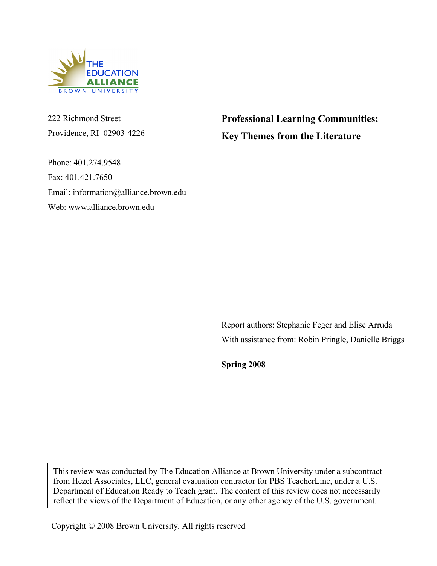

222 Richmond Street Providence, RI 02903-4226

Phone: 401.274.9548 Fax: 401.421.7650 Email: information@alliance.brown.edu Web: www.alliance.brown.edu

**Professional Learning Communities: Key Themes from the Literature**

Report authors: Stephanie Feger and Elise Arruda With assistance from: Robin Pringle, Danielle Briggs

**Spring 2008**

This review was conducted by The Education Alliance at Brown University under a subcontract from Hezel Associates, LLC, general evaluation contractor for PBS TeacherLine, under a U.S. Department of Education Ready to Teach grant. The content of this review does not necessarily reflect the views of the Department of Education, or any other agency of the U.S. government.

Copyright © 2008 Brown University. All rights reserved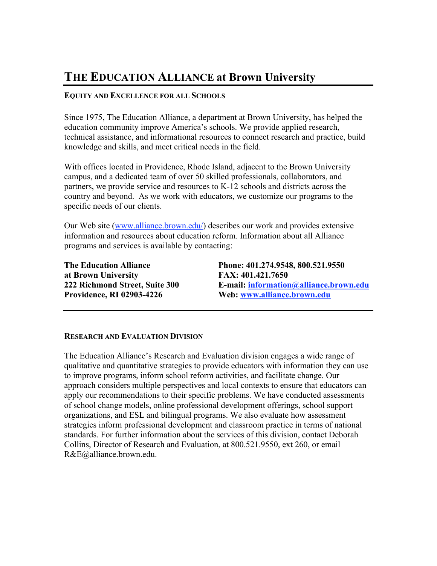# **THE EDUCATION ALLIANCE at Brown University**

## **EQUITY AND EXCELLENCE FOR ALL SCHOOLS**

Since 1975, The Education Alliance, a department at Brown University, has helped the education community improve America's schools. We provide applied research, technical assistance, and informational resources to connect research and practice, build knowledge and skills, and meet critical needs in the field.

With offices located in Providence, Rhode Island, adjacent to the Brown University campus, and a dedicated team of over 50 skilled professionals, collaborators, and partners, we provide service and resources to K-12 schools and districts across the country and beyond. As we work with educators, we customize our programs to the specific needs of our clients.

Our Web site (www.alliance.brown.edu/) describes our work and provides extensive information and resources about education reform. Information about all Alliance programs and services is available by contacting:

**at Brown University FAX: 401.421.7650 Providence, RI 02903-4226 Web: www.alliance.brown.edu**

**The Education Alliance Phone: 401.274.9548, 800.521.9550 222 Richmond Street, Suite 300 E-mail: information@alliance.brown.edu**

### **RESEARCH AND EVALUATION DIVISION**

The Education Alliance's Research and Evaluation division engages a wide range of qualitative and quantitative strategies to provide educators with information they can use to improve programs, inform school reform activities, and facilitate change. Our approach considers multiple perspectives and local contexts to ensure that educators can apply our recommendations to their specific problems. We have conducted assessments of school change models, online professional development offerings, school support organizations, and ESL and bilingual programs. We also evaluate how assessment strategies inform professional development and classroom practice in terms of national standards. For further information about the services of this division, contact Deborah Collins, Director of Research and Evaluation, at 800.521.9550, ext 260, or email R&E@alliance.brown.edu.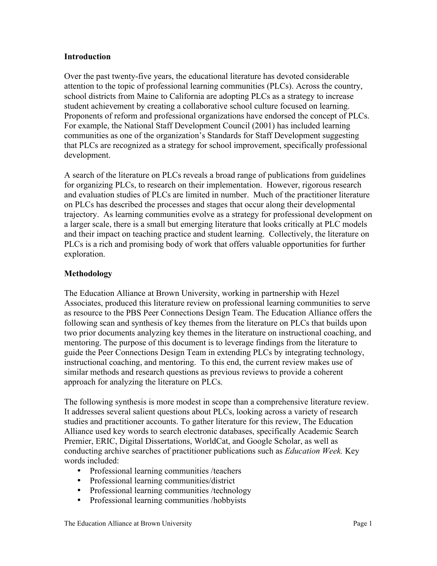## **Introduction**

Over the past twenty-five years, the educational literature has devoted considerable attention to the topic of professional learning communities (PLCs). Across the country, school districts from Maine to California are adopting PLCs as a strategy to increase student achievement by creating a collaborative school culture focused on learning. Proponents of reform and professional organizations have endorsed the concept of PLCs. For example, the National Staff Development Council (2001) has included learning communities as one of the organization's Standards for Staff Development suggesting that PLCs are recognized as a strategy for school improvement, specifically professional development.

A search of the literature on PLCs reveals a broad range of publications from guidelines for organizing PLCs, to research on their implementation. However, rigorous research and evaluation studies of PLCs are limited in number. Much of the practitioner literature on PLCs has described the processes and stages that occur along their developmental trajectory. As learning communities evolve as a strategy for professional development on a larger scale, there is a small but emerging literature that looks critically at PLC models and their impact on teaching practice and student learning. Collectively, the literature on PLCs is a rich and promising body of work that offers valuable opportunities for further exploration.

# **Methodology**

The Education Alliance at Brown University, working in partnership with Hezel Associates, produced this literature review on professional learning communities to serve as resource to the PBS Peer Connections Design Team. The Education Alliance offers the following scan and synthesis of key themes from the literature on PLCs that builds upon two prior documents analyzing key themes in the literature on instructional coaching, and mentoring. The purpose of this document is to leverage findings from the literature to guide the Peer Connections Design Team in extending PLCs by integrating technology, instructional coaching, and mentoring. To this end, the current review makes use of similar methods and research questions as previous reviews to provide a coherent approach for analyzing the literature on PLCs.

The following synthesis is more modest in scope than a comprehensive literature review. It addresses several salient questions about PLCs, looking across a variety of research studies and practitioner accounts. To gather literature for this review, The Education Alliance used key words to search electronic databases, specifically Academic Search Premier, ERIC, Digital Dissertations, WorldCat, and Google Scholar, as well as conducting archive searches of practitioner publications such as *Education Week.* Key words included:

- Professional learning communities /teachers
- Professional learning communities/district
- Professional learning communities /technology
- Professional learning communities /hobbyists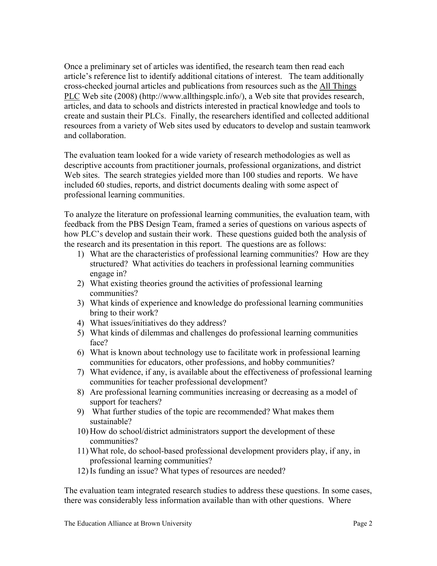Once a preliminary set of articles was identified, the research team then read each article's reference list to identify additional citations of interest. The team additionally cross-checked journal articles and publications from resources such as the All Things PLC Web site (2008) (http://www.allthingsplc.info/), a Web site that provides research, articles, and data to schools and districts interested in practical knowledge and tools to create and sustain their PLCs. Finally, the researchers identified and collected additional resources from a variety of Web sites used by educators to develop and sustain teamwork and collaboration.

The evaluation team looked for a wide variety of research methodologies as well as descriptive accounts from practitioner journals, professional organizations, and district Web sites. The search strategies yielded more than 100 studies and reports. We have included 60 studies, reports, and district documents dealing with some aspect of professional learning communities.

To analyze the literature on professional learning communities, the evaluation team, with feedback from the PBS Design Team, framed a series of questions on various aspects of how PLC's develop and sustain their work. These questions guided both the analysis of the research and its presentation in this report. The questions are as follows:

- 1) What are the characteristics of professional learning communities? How are they structured? What activities do teachers in professional learning communities engage in?
- 2) What existing theories ground the activities of professional learning communities?
- 3) What kinds of experience and knowledge do professional learning communities bring to their work?
- 4) What issues/initiatives do they address?
- 5) What kinds of dilemmas and challenges do professional learning communities face?
- 6) What is known about technology use to facilitate work in professional learning communities for educators, other professions, and hobby communities?
- 7) What evidence, if any, is available about the effectiveness of professional learning communities for teacher professional development?
- 8) Are professional learning communities increasing or decreasing as a model of support for teachers?
- 9) What further studies of the topic are recommended? What makes them sustainable?
- 10) How do school/district administrators support the development of these communities?
- 11) What role, do school-based professional development providers play, if any, in professional learning communities?
- 12) Is funding an issue? What types of resources are needed?

The evaluation team integrated research studies to address these questions. In some cases, there was considerably less information available than with other questions. Where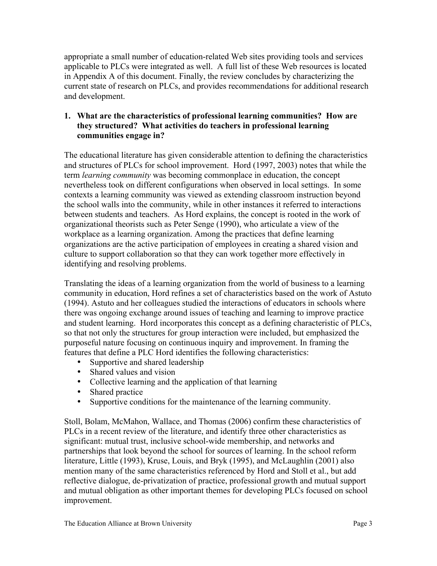appropriate a small number of education-related Web sites providing tools and services applicable to PLCs were integrated as well. A full list of these Web resources is located in Appendix A of this document. Finally, the review concludes by characterizing the current state of research on PLCs, and provides recommendations for additional research and development.

# **1. What are the characteristics of professional learning communities? How are they structured? What activities do teachers in professional learning communities engage in?**

The educational literature has given considerable attention to defining the characteristics and structures of PLCs for school improvement. Hord (1997, 2003) notes that while the term *learning community* was becoming commonplace in education, the concept nevertheless took on different configurations when observed in local settings. In some contexts a learning community was viewed as extending classroom instruction beyond the school walls into the community, while in other instances it referred to interactions between students and teachers. As Hord explains, the concept is rooted in the work of organizational theorists such as Peter Senge (1990), who articulate a view of the workplace as a learning organization. Among the practices that define learning organizations are the active participation of employees in creating a shared vision and culture to support collaboration so that they can work together more effectively in identifying and resolving problems.

Translating the ideas of a learning organization from the world of business to a learning community in education, Hord refines a set of characteristics based on the work of Astuto (1994). Astuto and her colleagues studied the interactions of educators in schools where there was ongoing exchange around issues of teaching and learning to improve practice and student learning. Hord incorporates this concept as a defining characteristic of PLCs, so that not only the structures for group interaction were included, but emphasized the purposeful nature focusing on continuous inquiry and improvement. In framing the features that define a PLC Hord identifies the following characteristics:

- Supportive and shared leadership
- Shared values and vision
- Collective learning and the application of that learning
- Shared practice
- Supportive conditions for the maintenance of the learning community.

Stoll, Bolam, McMahon, Wallace, and Thomas (2006) confirm these characteristics of PLCs in a recent review of the literature, and identify three other characteristics as significant: mutual trust, inclusive school-wide membership, and networks and partnerships that look beyond the school for sources of learning. In the school reform literature, Little (1993), Kruse, Louis, and Bryk (1995), and McLaughlin (2001) also mention many of the same characteristics referenced by Hord and Stoll et al., but add reflective dialogue, de-privatization of practice, professional growth and mutual support and mutual obligation as other important themes for developing PLCs focused on school improvement.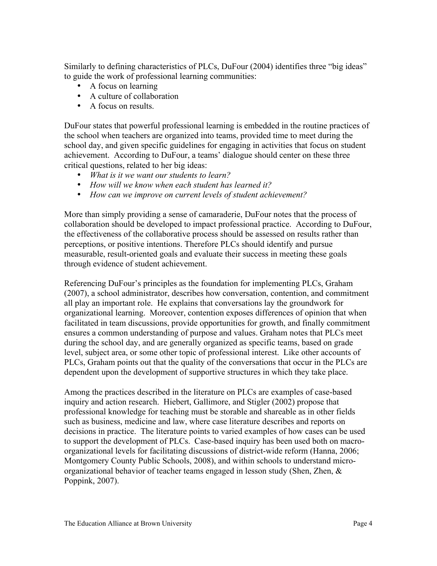Similarly to defining characteristics of PLCs, DuFour (2004) identifies three "big ideas" to guide the work of professional learning communities:

- A focus on learning
- A culture of collaboration
- A focus on results.

DuFour states that powerful professional learning is embedded in the routine practices of the school when teachers are organized into teams, provided time to meet during the school day, and given specific guidelines for engaging in activities that focus on student achievement. According to DuFour, a teams' dialogue should center on these three critical questions, related to her big ideas:

- *What is it we want our students to learn?*
- *How will we know when each student has learned it?*
- *How can we improve on current levels of student achievement?*

More than simply providing a sense of camaraderie, DuFour notes that the process of collaboration should be developed to impact professional practice. According to DuFour, the effectiveness of the collaborative process should be assessed on results rather than perceptions, or positive intentions. Therefore PLCs should identify and pursue measurable, result-oriented goals and evaluate their success in meeting these goals through evidence of student achievement.

Referencing DuFour's principles as the foundation for implementing PLCs, Graham (2007), a school administrator, describes how conversation, contention, and commitment all play an important role. He explains that conversations lay the groundwork for organizational learning. Moreover, contention exposes differences of opinion that when facilitated in team discussions, provide opportunities for growth, and finally commitment ensures a common understanding of purpose and values. Graham notes that PLCs meet during the school day, and are generally organized as specific teams, based on grade level, subject area, or some other topic of professional interest. Like other accounts of PLCs, Graham points out that the quality of the conversations that occur in the PLCs are dependent upon the development of supportive structures in which they take place.

Among the practices described in the literature on PLCs are examples of case-based inquiry and action research. Hiebert, Gallimore, and Stigler (2002) propose that professional knowledge for teaching must be storable and shareable as in other fields such as business, medicine and law, where case literature describes and reports on decisions in practice. The literature points to varied examples of how cases can be used to support the development of PLCs. Case-based inquiry has been used both on macroorganizational levels for facilitating discussions of district-wide reform (Hanna, 2006; Montgomery County Public Schools, 2008), and within schools to understand microorganizational behavior of teacher teams engaged in lesson study (Shen, Zhen, & Poppink, 2007).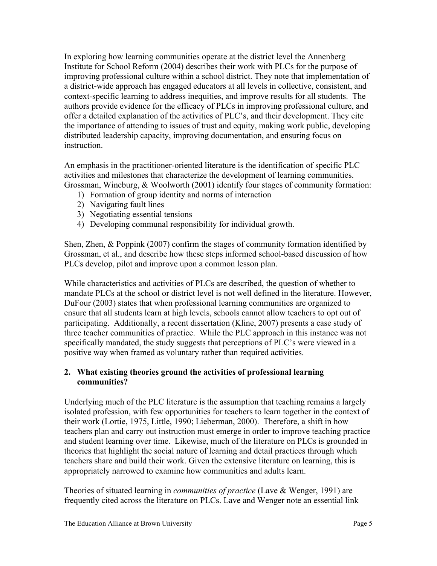In exploring how learning communities operate at the district level the Annenberg Institute for School Reform (2004) describes their work with PLCs for the purpose of improving professional culture within a school district. They note that implementation of a district-wide approach has engaged educators at all levels in collective, consistent, and context-specific learning to address inequities, and improve results for all students. The authors provide evidence for the efficacy of PLCs in improving professional culture, and offer a detailed explanation of the activities of PLC's, and their development. They cite the importance of attending to issues of trust and equity, making work public, developing distributed leadership capacity, improving documentation, and ensuring focus on instruction.

An emphasis in the practitioner-oriented literature is the identification of specific PLC activities and milestones that characterize the development of learning communities. Grossman, Wineburg, & Woolworth (2001) identify four stages of community formation:

- 1) Formation of group identity and norms of interaction
- 2) Navigating fault lines
- 3) Negotiating essential tensions
- 4) Developing communal responsibility for individual growth.

Shen, Zhen, & Poppink (2007) confirm the stages of community formation identified by Grossman, et al., and describe how these steps informed school-based discussion of how PLCs develop, pilot and improve upon a common lesson plan.

While characteristics and activities of PLCs are described, the question of whether to mandate PLCs at the school or district level is not well defined in the literature. However, DuFour (2003) states that when professional learning communities are organized to ensure that all students learn at high levels, schools cannot allow teachers to opt out of participating. Additionally, a recent dissertation (Kline, 2007) presents a case study of three teacher communities of practice. While the PLC approach in this instance was not specifically mandated, the study suggests that perceptions of PLC's were viewed in a positive way when framed as voluntary rather than required activities.

# **2. What existing theories ground the activities of professional learning communities?**

Underlying much of the PLC literature is the assumption that teaching remains a largely isolated profession, with few opportunities for teachers to learn together in the context of their work (Lortie, 1975, Little, 1990; Lieberman, 2000). Therefore, a shift in how teachers plan and carry out instruction must emerge in order to improve teaching practice and student learning over time. Likewise, much of the literature on PLCs is grounded in theories that highlight the social nature of learning and detail practices through which teachers share and build their work. Given the extensive literature on learning, this is appropriately narrowed to examine how communities and adults learn.

Theories of situated learning in *communities of practice* (Lave & Wenger, 1991) are frequently cited across the literature on PLCs. Lave and Wenger note an essential link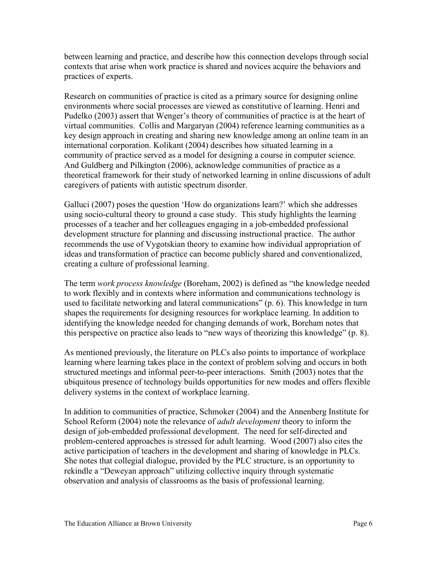between learning and practice, and describe how this connection develops through social contexts that arise when work practice is shared and novices acquire the behaviors and practices of experts.

Research on communities of practice is cited as a primary source for designing online environments where social processes are viewed as constitutive of learning. Henri and Pudelko (2003) assert that Wenger's theory of communities of practice is at the heart of virtual communities. Collis and Margaryan (2004) reference learning communities as a key design approach in creating and sharing new knowledge among an online team in an international corporation. Kolikant (2004) describes how situated learning in a community of practice served as a model for designing a course in computer science. And Guldberg and Pilkington (2006), acknowledge communities of practice as a theoretical framework for their study of networked learning in online discussions of adult caregivers of patients with autistic spectrum disorder.

Galluci (2007) poses the question 'How do organizations learn?' which she addresses using socio-cultural theory to ground a case study. This study highlights the learning processes of a teacher and her colleagues engaging in a job-embedded professional development structure for planning and discussing instructional practice. The author recommends the use of Vygotskian theory to examine how individual appropriation of ideas and transformation of practice can become publicly shared and conventionalized, creating a culture of professional learning.

The term *work process knowledge* (Boreham, 2002) is defined as "the knowledge needed to work flexibly and in contexts where information and communications technology is used to facilitate networking and lateral communications" (p. 6). This knowledge in turn shapes the requirements for designing resources for workplace learning. In addition to identifying the knowledge needed for changing demands of work, Boreham notes that this perspective on practice also leads to "new ways of theorizing this knowledge" (p. 8).

As mentioned previously, the literature on PLCs also points to importance of workplace learning where learning takes place in the context of problem solving and occurs in both structured meetings and informal peer-to-peer interactions. Smith (2003) notes that the ubiquitous presence of technology builds opportunities for new modes and offers flexible delivery systems in the context of workplace learning.

In addition to communities of practice, Schmoker (2004) and the Annenberg Institute for School Reform (2004) note the relevance of *adult development* theory to inform the design of job-embedded professional development. The need for self-directed and problem-centered approaches is stressed for adult learning. Wood (2007) also cites the active participation of teachers in the development and sharing of knowledge in PLCs. She notes that collegial dialogue, provided by the PLC structure, is an opportunity to rekindle a "Deweyan approach" utilizing collective inquiry through systematic observation and analysis of classrooms as the basis of professional learning.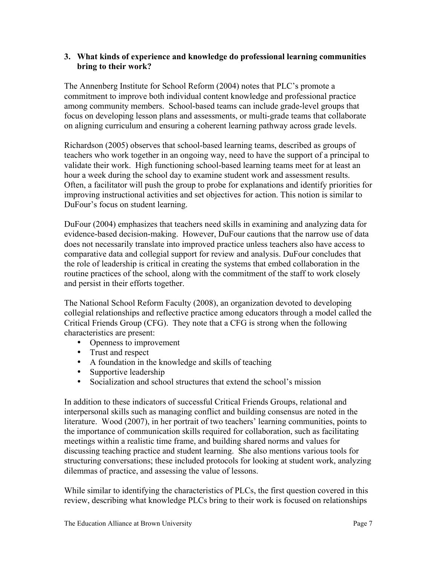## **3. What kinds of experience and knowledge do professional learning communities bring to their work?**

The Annenberg Institute for School Reform (2004) notes that PLC's promote a commitment to improve both individual content knowledge and professional practice among community members. School-based teams can include grade-level groups that focus on developing lesson plans and assessments, or multi-grade teams that collaborate on aligning curriculum and ensuring a coherent learning pathway across grade levels.

Richardson (2005) observes that school-based learning teams, described as groups of teachers who work together in an ongoing way, need to have the support of a principal to validate their work. High functioning school-based learning teams meet for at least an hour a week during the school day to examine student work and assessment results. Often, a facilitator will push the group to probe for explanations and identify priorities for improving instructional activities and set objectives for action. This notion is similar to DuFour's focus on student learning.

DuFour (2004) emphasizes that teachers need skills in examining and analyzing data for evidence-based decision-making. However, DuFour cautions that the narrow use of data does not necessarily translate into improved practice unless teachers also have access to comparative data and collegial support for review and analysis. DuFour concludes that the role of leadership is critical in creating the systems that embed collaboration in the routine practices of the school, along with the commitment of the staff to work closely and persist in their efforts together.

The National School Reform Faculty (2008), an organization devoted to developing collegial relationships and reflective practice among educators through a model called the Critical Friends Group (CFG). They note that a CFG is strong when the following characteristics are present:

- Openness to improvement
- Trust and respect
- A foundation in the knowledge and skills of teaching
- Supportive leadership
- Socialization and school structures that extend the school's mission

In addition to these indicators of successful Critical Friends Groups, relational and interpersonal skills such as managing conflict and building consensus are noted in the literature. Wood (2007), in her portrait of two teachers' learning communities, points to the importance of communication skills required for collaboration, such as facilitating meetings within a realistic time frame, and building shared norms and values for discussing teaching practice and student learning. She also mentions various tools for structuring conversations; these included protocols for looking at student work, analyzing dilemmas of practice, and assessing the value of lessons.

While similar to identifying the characteristics of PLCs, the first question covered in this review, describing what knowledge PLCs bring to their work is focused on relationships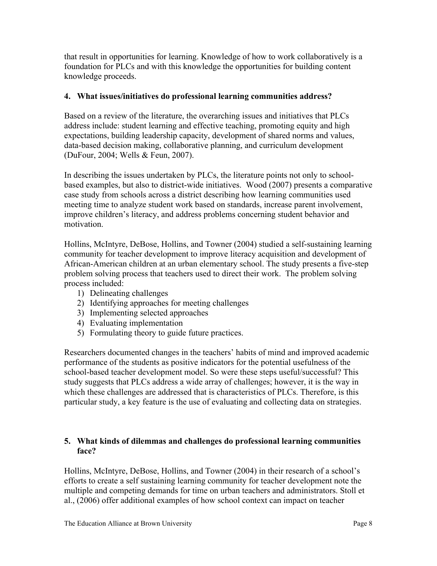that result in opportunities for learning. Knowledge of how to work collaboratively is a foundation for PLCs and with this knowledge the opportunities for building content knowledge proceeds.

# **4. What issues/initiatives do professional learning communities address?**

Based on a review of the literature, the overarching issues and initiatives that PLCs address include: student learning and effective teaching, promoting equity and high expectations, building leadership capacity, development of shared norms and values, data-based decision making, collaborative planning, and curriculum development (DuFour, 2004; Wells & Feun, 2007).

In describing the issues undertaken by PLCs, the literature points not only to schoolbased examples, but also to district-wide initiatives. Wood (2007) presents a comparative case study from schools across a district describing how learning communities used meeting time to analyze student work based on standards, increase parent involvement, improve children's literacy, and address problems concerning student behavior and motivation.

Hollins, McIntyre, DeBose, Hollins, and Towner (2004) studied a self-sustaining learning community for teacher development to improve literacy acquisition and development of African-American children at an urban elementary school. The study presents a five-step problem solving process that teachers used to direct their work. The problem solving process included:

- 1) Delineating challenges
- 2) Identifying approaches for meeting challenges
- 3) Implementing selected approaches
- 4) Evaluating implementation
- 5) Formulating theory to guide future practices.

Researchers documented changes in the teachers' habits of mind and improved academic performance of the students as positive indicators for the potential usefulness of the school-based teacher development model. So were these steps useful/successful? This study suggests that PLCs address a wide array of challenges; however, it is the way in which these challenges are addressed that is characteristics of PLCs. Therefore, is this particular study, a key feature is the use of evaluating and collecting data on strategies.

# **5. What kinds of dilemmas and challenges do professional learning communities face?**

Hollins, McIntyre, DeBose, Hollins, and Towner (2004) in their research of a school's efforts to create a self sustaining learning community for teacher development note the multiple and competing demands for time on urban teachers and administrators. Stoll et al., (2006) offer additional examples of how school context can impact on teacher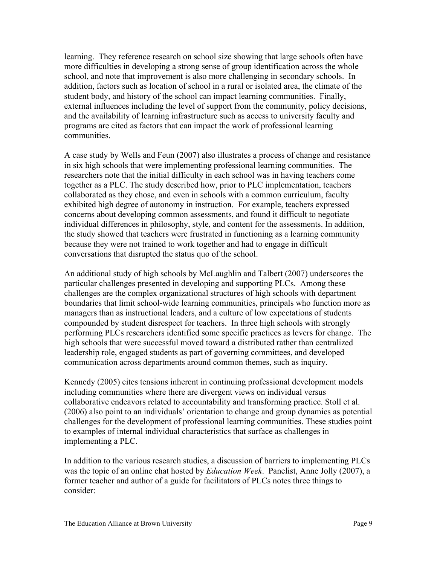learning. They reference research on school size showing that large schools often have more difficulties in developing a strong sense of group identification across the whole school, and note that improvement is also more challenging in secondary schools. In addition, factors such as location of school in a rural or isolated area, the climate of the student body, and history of the school can impact learning communities. Finally, external influences including the level of support from the community, policy decisions, and the availability of learning infrastructure such as access to university faculty and programs are cited as factors that can impact the work of professional learning communities.

A case study by Wells and Feun (2007) also illustrates a process of change and resistance in six high schools that were implementing professional learning communities. The researchers note that the initial difficulty in each school was in having teachers come together as a PLC. The study described how, prior to PLC implementation, teachers collaborated as they chose, and even in schools with a common curriculum, faculty exhibited high degree of autonomy in instruction. For example, teachers expressed concerns about developing common assessments, and found it difficult to negotiate individual differences in philosophy, style, and content for the assessments. In addition, the study showed that teachers were frustrated in functioning as a learning community because they were not trained to work together and had to engage in difficult conversations that disrupted the status quo of the school.

An additional study of high schools by McLaughlin and Talbert (2007) underscores the particular challenges presented in developing and supporting PLCs. Among these challenges are the complex organizational structures of high schools with department boundaries that limit school-wide learning communities, principals who function more as managers than as instructional leaders, and a culture of low expectations of students compounded by student disrespect for teachers. In three high schools with strongly performing PLCs researchers identified some specific practices as levers for change. The high schools that were successful moved toward a distributed rather than centralized leadership role, engaged students as part of governing committees, and developed communication across departments around common themes, such as inquiry.

Kennedy (2005) cites tensions inherent in continuing professional development models including communities where there are divergent views on individual versus collaborative endeavors related to accountability and transforming practice. Stoll et al. (2006) also point to an individuals' orientation to change and group dynamics as potential challenges for the development of professional learning communities. These studies point to examples of internal individual characteristics that surface as challenges in implementing a PLC.

In addition to the various research studies, a discussion of barriers to implementing PLCs was the topic of an online chat hosted by *Education Week*. Panelist, Anne Jolly (2007), a former teacher and author of a guide for facilitators of PLCs notes three things to consider: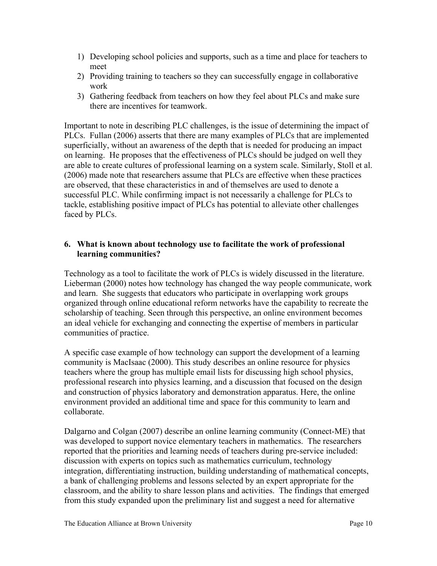- 1) Developing school policies and supports, such as a time and place for teachers to meet
- 2) Providing training to teachers so they can successfully engage in collaborative work
- 3) Gathering feedback from teachers on how they feel about PLCs and make sure there are incentives for teamwork.

Important to note in describing PLC challenges, is the issue of determining the impact of PLCs. Fullan (2006) asserts that there are many examples of PLCs that are implemented superficially, without an awareness of the depth that is needed for producing an impact on learning. He proposes that the effectiveness of PLCs should be judged on well they are able to create cultures of professional learning on a system scale. Similarly, Stoll et al. (2006) made note that researchers assume that PLCs are effective when these practices are observed, that these characteristics in and of themselves are used to denote a successful PLC. While confirming impact is not necessarily a challenge for PLCs to tackle, establishing positive impact of PLCs has potential to alleviate other challenges faced by PLCs.

# **6. What is known about technology use to facilitate the work of professional learning communities?**

Technology as a tool to facilitate the work of PLCs is widely discussed in the literature. Lieberman (2000) notes how technology has changed the way people communicate, work and learn. She suggests that educators who participate in overlapping work groups organized through online educational reform networks have the capability to recreate the scholarship of teaching. Seen through this perspective, an online environment becomes an ideal vehicle for exchanging and connecting the expertise of members in particular communities of practice.

A specific case example of how technology can support the development of a learning community is MacIsaac (2000). This study describes an online resource for physics teachers where the group has multiple email lists for discussing high school physics, professional research into physics learning, and a discussion that focused on the design and construction of physics laboratory and demonstration apparatus. Here, the online environment provided an additional time and space for this community to learn and collaborate.

Dalgarno and Colgan (2007) describe an online learning community (Connect-ME) that was developed to support novice elementary teachers in mathematics. The researchers reported that the priorities and learning needs of teachers during pre-service included: discussion with experts on topics such as mathematics curriculum, technology integration, differentiating instruction, building understanding of mathematical concepts, a bank of challenging problems and lessons selected by an expert appropriate for the classroom, and the ability to share lesson plans and activities. The findings that emerged from this study expanded upon the preliminary list and suggest a need for alternative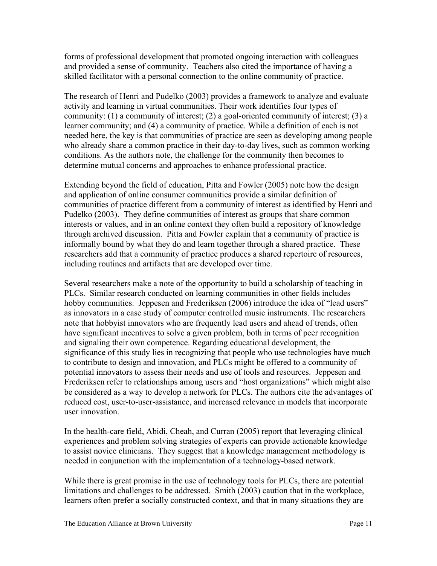forms of professional development that promoted ongoing interaction with colleagues and provided a sense of community. Teachers also cited the importance of having a skilled facilitator with a personal connection to the online community of practice.

The research of Henri and Pudelko (2003) provides a framework to analyze and evaluate activity and learning in virtual communities. Their work identifies four types of community: (1) a community of interest; (2) a goal-oriented community of interest; (3) a learner community; and (4) a community of practice. While a definition of each is not needed here, the key is that communities of practice are seen as developing among people who already share a common practice in their day-to-day lives, such as common working conditions. As the authors note, the challenge for the community then becomes to determine mutual concerns and approaches to enhance professional practice.

Extending beyond the field of education, Pitta and Fowler (2005) note how the design and application of online consumer communities provide a similar definition of communities of practice different from a community of interest as identified by Henri and Pudelko (2003). They define communities of interest as groups that share common interests or values, and in an online context they often build a repository of knowledge through archived discussion. Pitta and Fowler explain that a community of practice is informally bound by what they do and learn together through a shared practice. These researchers add that a community of practice produces a shared repertoire of resources, including routines and artifacts that are developed over time.

Several researchers make a note of the opportunity to build a scholarship of teaching in PLCs. Similar research conducted on learning communities in other fields includes hobby communities. Jeppesen and Frederiksen (2006) introduce the idea of "lead users" as innovators in a case study of computer controlled music instruments. The researchers note that hobbyist innovators who are frequently lead users and ahead of trends, often have significant incentives to solve a given problem, both in terms of peer recognition and signaling their own competence. Regarding educational development, the significance of this study lies in recognizing that people who use technologies have much to contribute to design and innovation, and PLCs might be offered to a community of potential innovators to assess their needs and use of tools and resources. Jeppesen and Frederiksen refer to relationships among users and "host organizations" which might also be considered as a way to develop a network for PLCs. The authors cite the advantages of reduced cost, user-to-user-assistance, and increased relevance in models that incorporate user innovation.

In the health-care field, Abidi, Cheah, and Curran (2005) report that leveraging clinical experiences and problem solving strategies of experts can provide actionable knowledge to assist novice clinicians. They suggest that a knowledge management methodology is needed in conjunction with the implementation of a technology-based network.

While there is great promise in the use of technology tools for PLCs, there are potential limitations and challenges to be addressed. Smith (2003) caution that in the workplace, learners often prefer a socially constructed context, and that in many situations they are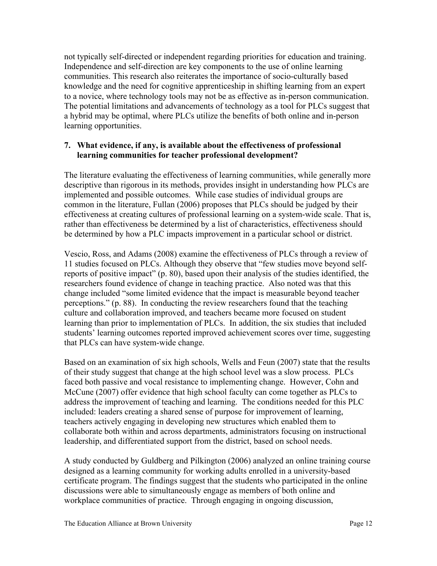not typically self-directed or independent regarding priorities for education and training. Independence and self-direction are key components to the use of online learning communities. This research also reiterates the importance of socio-culturally based knowledge and the need for cognitive apprenticeship in shifting learning from an expert to a novice, where technology tools may not be as effective as in-person communication. The potential limitations and advancements of technology as a tool for PLCs suggest that a hybrid may be optimal, where PLCs utilize the benefits of both online and in-person learning opportunities.

# **7. What evidence, if any, is available about the effectiveness of professional learning communities for teacher professional development?**

The literature evaluating the effectiveness of learning communities, while generally more descriptive than rigorous in its methods, provides insight in understanding how PLCs are implemented and possible outcomes. While case studies of individual groups are common in the literature, Fullan (2006) proposes that PLCs should be judged by their effectiveness at creating cultures of professional learning on a system-wide scale. That is, rather than effectiveness be determined by a list of characteristics, effectiveness should be determined by how a PLC impacts improvement in a particular school or district.

Vescio, Ross, and Adams (2008) examine the effectiveness of PLCs through a review of 11 studies focused on PLCs. Although they observe that "few studies move beyond selfreports of positive impact" (p. 80), based upon their analysis of the studies identified, the researchers found evidence of change in teaching practice. Also noted was that this change included "some limited evidence that the impact is measurable beyond teacher perceptions." (p. 88). In conducting the review researchers found that the teaching culture and collaboration improved, and teachers became more focused on student learning than prior to implementation of PLCs. In addition, the six studies that included students' learning outcomes reported improved achievement scores over time, suggesting that PLCs can have system-wide change.

Based on an examination of six high schools, Wells and Feun (2007) state that the results of their study suggest that change at the high school level was a slow process. PLCs faced both passive and vocal resistance to implementing change. However, Cohn and McCune (2007) offer evidence that high school faculty can come together as PLCs to address the improvement of teaching and learning. The conditions needed for this PLC included: leaders creating a shared sense of purpose for improvement of learning, teachers actively engaging in developing new structures which enabled them to collaborate both within and across departments, administrators focusing on instructional leadership, and differentiated support from the district, based on school needs.

A study conducted by Guldberg and Pilkington (2006) analyzed an online training course designed as a learning community for working adults enrolled in a university-based certificate program. The findings suggest that the students who participated in the online discussions were able to simultaneously engage as members of both online and workplace communities of practice. Through engaging in ongoing discussion,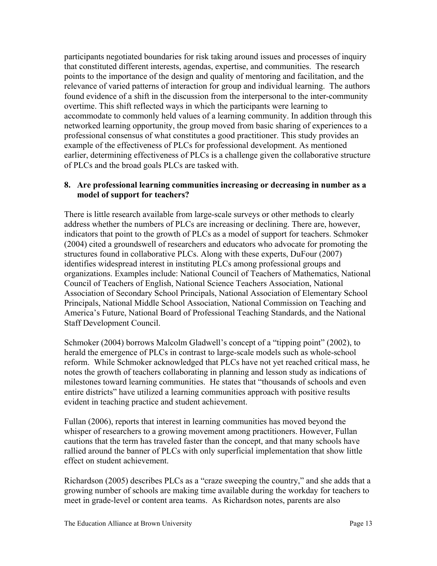participants negotiated boundaries for risk taking around issues and processes of inquiry that constituted different interests, agendas, expertise, and communities. The research points to the importance of the design and quality of mentoring and facilitation, and the relevance of varied patterns of interaction for group and individual learning. The authors found evidence of a shift in the discussion from the interpersonal to the inter-community overtime. This shift reflected ways in which the participants were learning to accommodate to commonly held values of a learning community. In addition through this networked learning opportunity, the group moved from basic sharing of experiences to a professional consensus of what constitutes a good practitioner. This study provides an example of the effectiveness of PLCs for professional development. As mentioned earlier, determining effectiveness of PLCs is a challenge given the collaborative structure of PLCs and the broad goals PLCs are tasked with.

## **8. Are professional learning communities increasing or decreasing in number as a model of support for teachers?**

There is little research available from large-scale surveys or other methods to clearly address whether the numbers of PLCs are increasing or declining. There are, however, indicators that point to the growth of PLCs as a model of support for teachers. Schmoker (2004) cited a groundswell of researchers and educators who advocate for promoting the structures found in collaborative PLCs. Along with these experts, DuFour (2007) identifies widespread interest in instituting PLCs among professional groups and organizations. Examples include: National Council of Teachers of Mathematics, National Council of Teachers of English, National Science Teachers Association, National Association of Secondary School Principals, National Association of Elementary School Principals, National Middle School Association, National Commission on Teaching and America's Future, National Board of Professional Teaching Standards, and the National Staff Development Council.

Schmoker (2004) borrows Malcolm Gladwell's concept of a "tipping point" (2002), to herald the emergence of PLCs in contrast to large-scale models such as whole-school reform. While Schmoker acknowledged that PLCs have not yet reached critical mass, he notes the growth of teachers collaborating in planning and lesson study as indications of milestones toward learning communities. He states that "thousands of schools and even entire districts" have utilized a learning communities approach with positive results evident in teaching practice and student achievement.

Fullan (2006), reports that interest in learning communities has moved beyond the whisper of researchers to a growing movement among practitioners. However, Fullan cautions that the term has traveled faster than the concept, and that many schools have rallied around the banner of PLCs with only superficial implementation that show little effect on student achievement.

Richardson (2005) describes PLCs as a "craze sweeping the country," and she adds that a growing number of schools are making time available during the workday for teachers to meet in grade-level or content area teams. As Richardson notes, parents are also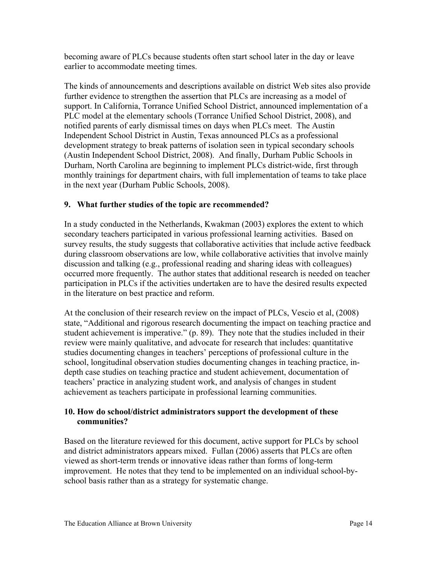becoming aware of PLCs because students often start school later in the day or leave earlier to accommodate meeting times.

The kinds of announcements and descriptions available on district Web sites also provide further evidence to strengthen the assertion that PLCs are increasing as a model of support. In California, Torrance Unified School District, announced implementation of a PLC model at the elementary schools (Torrance Unified School District, 2008), and notified parents of early dismissal times on days when PLCs meet. The Austin Independent School District in Austin, Texas announced PLCs as a professional development strategy to break patterns of isolation seen in typical secondary schools (Austin Independent School District, 2008). And finally, Durham Public Schools in Durham, North Carolina are beginning to implement PLCs district-wide, first through monthly trainings for department chairs, with full implementation of teams to take place in the next year (Durham Public Schools, 2008).

# **9. What further studies of the topic are recommended?**

In a study conducted in the Netherlands, Kwakman (2003) explores the extent to which secondary teachers participated in various professional learning activities. Based on survey results, the study suggests that collaborative activities that include active feedback during classroom observations are low, while collaborative activities that involve mainly discussion and talking (e.g., professional reading and sharing ideas with colleagues) occurred more frequently. The author states that additional research is needed on teacher participation in PLCs if the activities undertaken are to have the desired results expected in the literature on best practice and reform.

At the conclusion of their research review on the impact of PLCs, Vescio et al, (2008) state, "Additional and rigorous research documenting the impact on teaching practice and student achievement is imperative." (p. 89). They note that the studies included in their review were mainly qualitative, and advocate for research that includes: quantitative studies documenting changes in teachers' perceptions of professional culture in the school, longitudinal observation studies documenting changes in teaching practice, indepth case studies on teaching practice and student achievement, documentation of teachers' practice in analyzing student work, and analysis of changes in student achievement as teachers participate in professional learning communities.

# **10. How do school/district administrators support the development of these communities?**

Based on the literature reviewed for this document, active support for PLCs by school and district administrators appears mixed. Fullan (2006) asserts that PLCs are often viewed as short-term trends or innovative ideas rather than forms of long-term improvement. He notes that they tend to be implemented on an individual school-byschool basis rather than as a strategy for systematic change.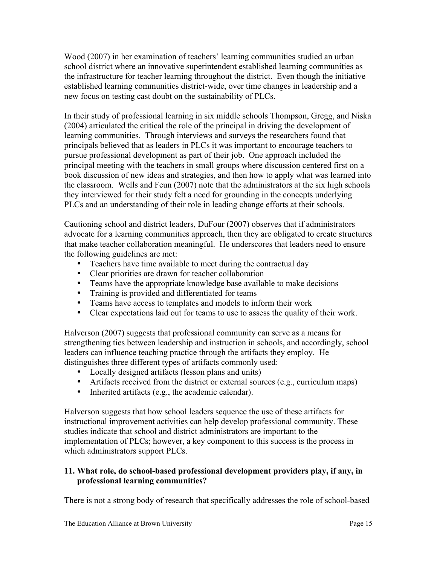Wood (2007) in her examination of teachers' learning communities studied an urban school district where an innovative superintendent established learning communities as the infrastructure for teacher learning throughout the district. Even though the initiative established learning communities district-wide, over time changes in leadership and a new focus on testing cast doubt on the sustainability of PLCs.

In their study of professional learning in six middle schools Thompson, Gregg, and Niska (2004) articulated the critical the role of the principal in driving the development of learning communities. Through interviews and surveys the researchers found that principals believed that as leaders in PLCs it was important to encourage teachers to pursue professional development as part of their job. One approach included the principal meeting with the teachers in small groups where discussion centered first on a book discussion of new ideas and strategies, and then how to apply what was learned into the classroom. Wells and Feun (2007) note that the administrators at the six high schools they interviewed for their study felt a need for grounding in the concepts underlying PLCs and an understanding of their role in leading change efforts at their schools.

Cautioning school and district leaders, DuFour (2007) observes that if administrators advocate for a learning communities approach, then they are obligated to create structures that make teacher collaboration meaningful. He underscores that leaders need to ensure the following guidelines are met:

- Teachers have time available to meet during the contractual day
- Clear priorities are drawn for teacher collaboration
- Teams have the appropriate knowledge base available to make decisions
- Training is provided and differentiated for teams
- Teams have access to templates and models to inform their work
- Clear expectations laid out for teams to use to assess the quality of their work.

Halverson (2007) suggests that professional community can serve as a means for strengthening ties between leadership and instruction in schools, and accordingly, school leaders can influence teaching practice through the artifacts they employ. He distinguishes three different types of artifacts commonly used:

- Locally designed artifacts (lesson plans and units)
- Artifacts received from the district or external sources (e.g., curriculum maps)
- Inherited artifacts (e.g., the academic calendar).

Halverson suggests that how school leaders sequence the use of these artifacts for instructional improvement activities can help develop professional community. These studies indicate that school and district administrators are important to the implementation of PLCs; however, a key component to this success is the process in which administrators support PLCs.

# **11. What role, do school-based professional development providers play, if any, in professional learning communities?**

There is not a strong body of research that specifically addresses the role of school-based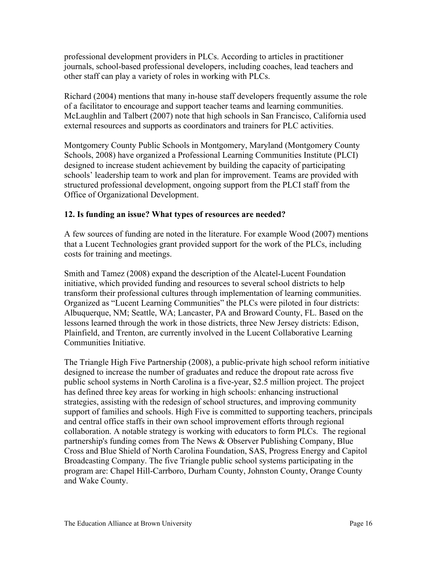professional development providers in PLCs. According to articles in practitioner journals, school-based professional developers, including coaches, lead teachers and other staff can play a variety of roles in working with PLCs.

Richard (2004) mentions that many in-house staff developers frequently assume the role of a facilitator to encourage and support teacher teams and learning communities. McLaughlin and Talbert (2007) note that high schools in San Francisco, California used external resources and supports as coordinators and trainers for PLC activities.

Montgomery County Public Schools in Montgomery, Maryland (Montgomery County Schools, 2008) have organized a Professional Learning Communities Institute (PLCI) designed to increase student achievement by building the capacity of participating schools' leadership team to work and plan for improvement. Teams are provided with structured professional development, ongoing support from the PLCI staff from the Office of Organizational Development.

# **12. Is funding an issue? What types of resources are needed?**

A few sources of funding are noted in the literature. For example Wood (2007) mentions that a Lucent Technologies grant provided support for the work of the PLCs, including costs for training and meetings.

Smith and Tamez (2008) expand the description of the Alcatel-Lucent Foundation initiative, which provided funding and resources to several school districts to help transform their professional cultures through implementation of learning communities. Organized as "Lucent Learning Communities" the PLCs were piloted in four districts: Albuquerque, NM; Seattle, WA; Lancaster, PA and Broward County, FL. Based on the lessons learned through the work in those districts, three New Jersey districts: Edison, Plainfield, and Trenton, are currently involved in the Lucent Collaborative Learning Communities Initiative.

The Triangle High Five Partnership (2008), a public-private high school reform initiative designed to increase the number of graduates and reduce the dropout rate across five public school systems in North Carolina is a five-year, \$2.5 million project. The project has defined three key areas for working in high schools: enhancing instructional strategies, assisting with the redesign of school structures, and improving community support of families and schools. High Five is committed to supporting teachers, principals and central office staffs in their own school improvement efforts through regional collaboration. A notable strategy is working with educators to form PLCs. The regional partnership's funding comes from The News & Observer Publishing Company, Blue Cross and Blue Shield of North Carolina Foundation, SAS, Progress Energy and Capitol Broadcasting Company. The five Triangle public school systems participating in the program are: Chapel Hill-Carrboro, Durham County, Johnston County, Orange County and Wake County.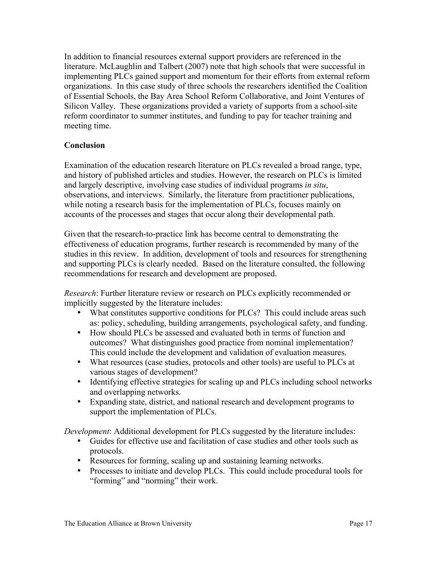In addition to financial resources external support providers are referenced in the literature. McLaughlin and Talbert (2007) note that high schools that were successful in implementing PLCs gained support and momentum for their efforts from external reform organizations. In this case study of three schools the researchers identified the Coalition of Essential Schools, the Bay Area School Reform Collaborative, and Joint Ventures of Silicon Valley. These organizations provided a variety of supports from a school-site reform coordinator to summer institutes, and funding to pay for teacher training and meeting time.

# **Conclusion**

Examination of the education research literature on PLCs revealed a broad range, type, and history of published articles and studies. However, the research on PLCs is limited and largely descriptive, involving case studies of individual programs *in situ*, observations, and interviews. Similarly, the literature from practitioner publications, while noting a research basis for the implementation of PLCs, focuses mainly on accounts of the processes and stages that occur along their developmental path.

Given that the research-to-practice link has become central to demonstrating the effectiveness of education programs, further research is recommended by many of the studies in this review. In addition, development of tools and resources for strengthening and supporting PLCs is clearly needed. Based on the literature consulted, the following recommendations for research and development are proposed.

*Research*: Further literature review or research on PLCs explicitly recommended or implicitly suggested by the literature includes:

- What constitutes supportive conditions for PLCs? This could include areas such as: policy, scheduling, building arrangements, psychological safety, and funding.
- How should PLCs be assessed and evaluated both in terms of function and outcomes? What distinguishes good practice from nominal implementation? This could include the development and validation of evaluation measures.
- What resources (case studies, protocols and other tools) are useful to PLCs at various stages of development?
- Identifying effective strategies for scaling up and PLCs including school networks and overlapping networks.
- Expanding state, district, and national research and development programs to support the implementation of PLCs.

*Development*: Additional development for PLCs suggested by the literature includes:

- Guides for effective use and facilitation of case studies and other tools such as protocols.
- Protocols.<br>• Resources for forming, scaling up and sustaining learning networks.
- Processes to initiate and develop PLCs. This could include procedural tools for "forming" and "norming" their work.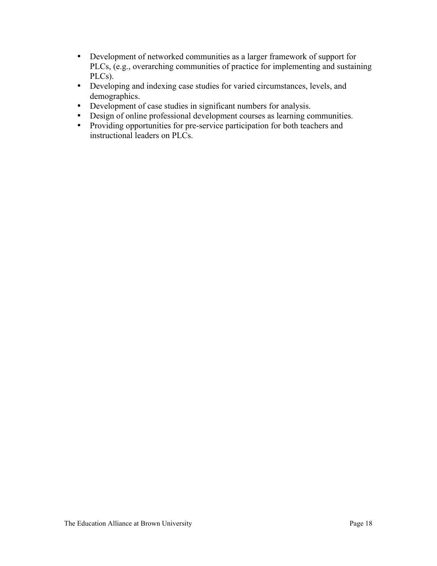- Development of networked communities as a larger framework of support for PLCs, (e.g., overarching communities of practice for implementing and sustaining PLCs).
- Developing and indexing case studies for varied circumstances, levels, and demographics.
- Development of case studies in significant numbers for analysis.
- Design of online professional development courses as learning communities.
- Providing opportunities for pre-service participation for both teachers and instructional leaders on PLCs.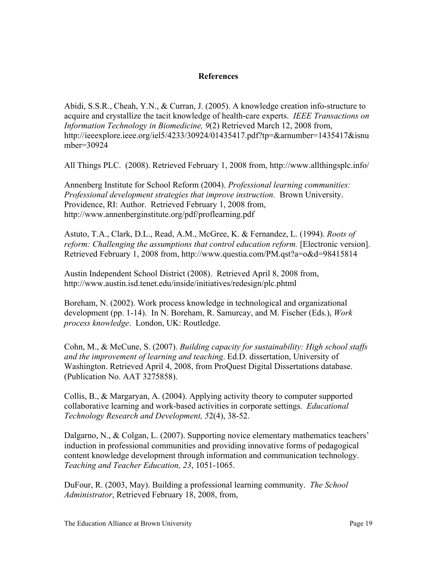# **References**

Abidi, S.S.R., Cheah, Y.N., & Curran, J. (2005). A knowledge creation info-structure to acquire and crystallize the tacit knowledge of health-care experts. *IEEE Transactions on Information Technology in Biomedicine, 9*(2) Retrieved March 12, 2008 from, http://ieeexplore.ieee.org/iel5/4233/30924/01435417.pdf?tp=&arnumber=1435417&isnu mber=30924

All Things PLC. (2008). Retrieved February 1, 2008 from, http://www.allthingsplc.info/

Annenberg Institute for School Reform (2004). *Professional learning communities: Professional development strategies that improve instruction.* Brown University. Providence, RI: Author. Retrieved February 1, 2008 from, http://www.annenberginstitute.org/pdf/proflearning.pdf

Astuto, T.A., Clark, D.L., Read, A.M., McGree, K. & Fernandez, L. (1994). *Roots of reform: Challenging the assumptions that control education reform.* [Electronic version]. Retrieved February 1, 2008 from, http://www.questia.com/PM.qst?a=o&d=98415814

Austin Independent School District (2008). Retrieved April 8, 2008 from, http://www.austin.isd.tenet.edu/inside/initiatives/redesign/plc.phtml

Boreham, N. (2002). Work process knowledge in technological and organizational development (pp. 1-14). In N. Boreham, R. Samurcay, and M. Fischer (Eds.), *Work process knowledge*. London, UK: Routledge.

Cohn, M., & McCune, S. (2007). *Building capacity for sustainability: High school staffs and the improvement of learning and teaching*. Ed.D. dissertation, University of Washington. Retrieved April 4, 2008, from ProQuest Digital Dissertations database. (Publication No. AAT 3275858).

Collis, B., & Margaryan, A. (2004). Applying activity theory to computer supported collaborative learning and work-based activities in corporate settings. *Educational Technology Research and Development, 5*2(4), 38-52.

Dalgarno, N., & Colgan, L. (2007). Supporting novice elementary mathematics teachers' induction in professional communities and providing innovative forms of pedagogical content knowledge development through information and communication technology. *Teaching and Teacher Education, 23*, 1051-1065.

DuFour, R. (2003, May). Building a professional learning community. *The School Administrator*, Retrieved February 18, 2008, from,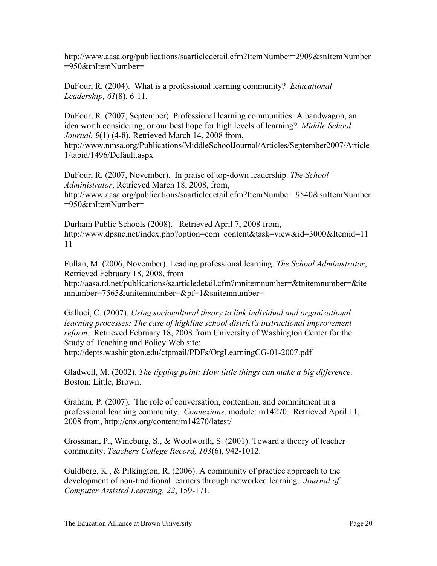http://www.aasa.org/publications/saarticledetail.cfm?ItemNumber=2909&snItemNumber =950&tnItemNumber=

DuFour, R. (2004). What is a professional learning community? *Educational Leadership, 61*(8), 6-11.

DuFour, R. (2007, September). Professional learning communities: A bandwagon, an idea worth considering, or our best hope for high levels of learning? *Middle School Journal. 9*(1) (4-8). Retrieved March 14, 2008 from, http://www.nmsa.org/Publications/MiddleSchoolJournal/Articles/September2007/Article 1/tabid/1496/Default.aspx

DuFour, R. (2007, November). In praise of top-down leadership. *The School Administrator*, Retrieved March 18, 2008, from, http://www.aasa.org/publications/saarticledetail.cfm?ItemNumber=9540&snItemNumber =950&tnItemNumber=

Durham Public Schools (2008). Retrieved April 7, 2008 from, http://www.dpsnc.net/index.php?option=com\_content&task=view&id=3000&Itemid=11 11

Fullan, M. (2006, November). Leading professional learning. *The School Administrator*, Retrieved February 18, 2008, from http://aasa.rd.net/publications/saarticledetail.cfm?mnitemnumber=&tnitemnumber=&ite mnumber=7565&unitemnumber=&pf=1&snitemnumber=

Galluci, C. (2007). *Using sociocultural theory to link individual and organizational*  learning processes: The case of highline school district's instructional improvement *reform.* Retrieved February 18, 2008 from University of Washington Center for the Study of Teaching and Policy Web site:

http://depts.washington.edu/ctpmail/PDFs/OrgLearningCG-01-2007.pdf

Gladwell, M. (2002). *The tipping point: How little things can make a big difference.* Boston: Little, Brown.

Graham, P. (2007). The role of conversation, contention, and commitment in a professional learning community. *Connexions*, module: m14270. Retrieved April 11, 2008 from, http://cnx.org/content/m14270/latest/

Grossman, P., Wineburg, S., & Woolworth, S. (2001). Toward a theory of teacher community. *Teachers College Record, 103*(6), 942-1012.

Guldberg, K., & Pilkington, R. (2006). A community of practice approach to the development of non-traditional learners through networked learning. *Journal of Computer Assisted Learning, 22*, 159-171.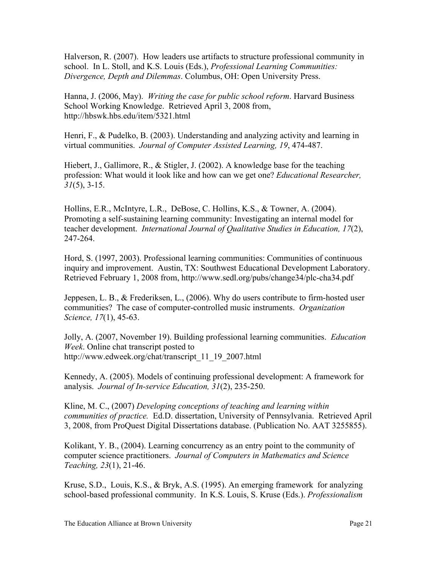Halverson, R. (2007). How leaders use artifacts to structure professional community in school. In L. Stoll, and K.S. Louis (Eds.), *Professional Learning Communities: Divergence, Depth and Dilemmas*. Columbus, OH: Open University Press.

Hanna, J. (2006, May). *Writing the case for public school reform*. Harvard Business School Working Knowledge. Retrieved April 3, 2008 from, http://hbswk.hbs.edu/item/5321.html

Henri, F., & Pudelko, B. (2003). Understanding and analyzing activity and learning in virtual communities. *Journal of Computer Assisted Learning, 19*, 474-487.

Hiebert, J., Gallimore, R., & Stigler, J. (2002). A knowledge base for the teaching profession: What would it look like and how can we get one? *Educational Researcher, 31*(5), 3-15.

Hollins, E.R., McIntyre, L.R., DeBose, C. Hollins, K.S., & Towner, A. (2004). Promoting a self-sustaining learning community: Investigating an internal model for teacher development. *International Journal of Qualitative Studies in Education, 17*(2), 247-264.

Hord, S. (1997, 2003). Professional learning communities: Communities of continuous inquiry and improvement. Austin, TX: Southwest Educational Development Laboratory. Retrieved February 1, 2008 from, http://www.sedl.org/pubs/change34/plc-cha34.pdf

Jeppesen, L. B., & Frederiksen, L., (2006). Why do users contribute to firm-hosted user communities? The case of computer-controlled music instruments. *Organization Science, 17*(1), 45-63.

Jolly, A. (2007, November 19). Building professional learning communities. *Education Week*. Online chat transcript posted to http://www.edweek.org/chat/transcript\_11\_19\_2007.html

Kennedy, A. (2005). Models of continuing professional development: A framework for analysis. *Journal of In-service Education, 31*(2), 235-250.

Kline, M. C., (2007) *Developing conceptions of teaching and learning within communities of practice.* Ed.D. dissertation, University of Pennsylvania. Retrieved April 3, 2008, from ProQuest Digital Dissertations database. (Publication No. AAT 3255855).

Kolikant, Y. B., (2004). Learning concurrency as an entry point to the community of computer science practitioners. *Journal of Computers in Mathematics and Science Teaching, 23*(1), 21-46.

Kruse, S.D., Louis, K.S., & Bryk, A.S. (1995). An emerging framework for analyzing school-based professional community. In K.S. Louis, S. Kruse (Eds.). *Professionalism*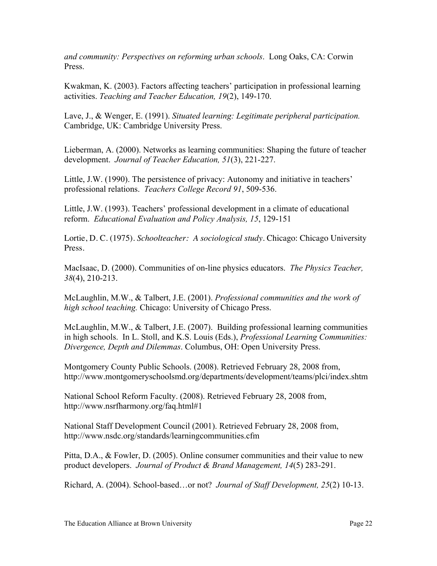*and community: Perspectives on reforming urban schools*. Long Oaks, CA: Corwin Press.

Kwakman, K. (2003). Factors affecting teachers' participation in professional learning activities. *Teaching and Teacher Education, 19*(2), 149-170.

Lave, J., & Wenger, E. (1991). *Situated learning: Legitimate peripheral participation.* Cambridge, UK: Cambridge University Press.

Lieberman, A. (2000). Networks as learning communities: Shaping the future of teacher development. *Journal of Teacher Education, 51*(3), 221-227.

Little, J.W. (1990). The persistence of privacy: Autonomy and initiative in teachers' professional relations. *Teachers College Record 91*, 509-536.

Little, J.W. (1993). Teachers' professional development in a climate of educational reform. *Educational Evaluation and Policy Analysis, 15*, 129-151

Lortie, D. C. (1975). *Schoolteacher: A sociological study*. Chicago: Chicago University Press.

MacIsaac, D. (2000). Communities of on-line physics educators. *The Physics Teacher, 38*(4), 210-213.

McLaughlin, M.W., & Talbert, J.E. (2001). *Professional communities and the work of high school teaching.* Chicago: University of Chicago Press.

McLaughlin, M.W., & Talbert, J.E. (2007). Building professional learning communities in high schools. In L. Stoll, and K.S. Louis (Eds.), *Professional Learning Communities: Divergence, Depth and Dilemmas*. Columbus, OH: Open University Press.

Montgomery County Public Schools. (2008). Retrieved February 28, 2008 from, http://www.montgomeryschoolsmd.org/departments/development/teams/plci/index.shtm

National School Reform Faculty. (2008). Retrieved February 28, 2008 from, http://www.nsrfharmony.org/faq.html#1

National Staff Development Council (2001). Retrieved February 28, 2008 from, http://www.nsdc.org/standards/learningcommunities.cfm

Pitta, D.A., & Fowler, D. (2005). Online consumer communities and their value to new product developers. *Journal of Product & Brand Management, 14*(5) 283-291.

Richard, A. (2004). School-based…or not? *Journal of Staff Development, 25*(2) 10-13.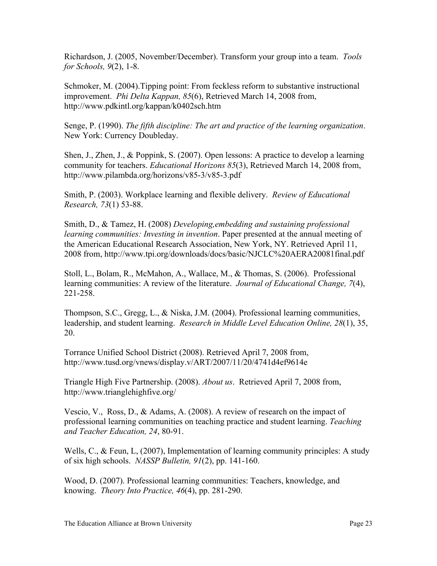Richardson, J. (2005, November/December). Transform your group into a team. *Tools for Schools, 9*(2), 1-8.

Schmoker, M. (2004).Tipping point: From feckless reform to substantive instructional improvement. *Phi Delta Kappan, 85*(6), Retrieved March 14, 2008 from, http://www.pdkintl.org/kappan/k0402sch.htm

Senge, P. (1990). *The fifth discipline: The art and practice of the learning organization*. New York: Currency Doubleday.

Shen, J., Zhen, J., & Poppink, S. (2007). Open lessons: A practice to develop a learning community for teachers. *Educational Horizons 85*(3), Retrieved March 14, 2008 from, http://www.pilambda.org/horizons/v85-3/v85-3.pdf

Smith, P. (2003). Workplace learning and flexible delivery. *Review of Educational Research, 73*(1) 53-88.

Smith, D., & Tamez, H. (2008) *Developing,embedding and sustaining professional learning communities: Investing in invention*. Paper presented at the annual meeting of the American Educational Research Association, New York, NY. Retrieved April 11, 2008 from, http://www.tpi.org/downloads/docs/basic/NJCLC%20AERA20081final.pdf

Stoll, L., Bolam, R., McMahon, A., Wallace, M., & Thomas, S. (2006). Professional learning communities: A review of the literature. *Journal of Educational Change, 7*(4), 221-258.

Thompson, S.C., Gregg, L., & Niska, J.M. (2004). Professional learning communities, leadership, and student learning. *Research in Middle Level Education Online, 28*(1), 35, 20.

Torrance Unified School District (2008). Retrieved April 7, 2008 from, http://www.tusd.org/vnews/display.v/ART/2007/11/20/4741d4ef9614e

Triangle High Five Partnership. (2008). *About us*. Retrieved April 7, 2008 from, http://www.trianglehighfive.org/

Vescio, V., Ross, D., & Adams, A. (2008). A review of research on the impact of professional learning communities on teaching practice and student learning. *Teaching and Teacher Education, 24*, 80-91.

Wells, C., & Feun, L. (2007), Implementation of learning community principles: A study of six high schools. *NASSP Bulletin, 91*(2), pp. 141-160.

Wood, D. (2007). Professional learning communities: Teachers, knowledge, and knowing. *Theory Into Practice, 46*(4), pp. 281-290.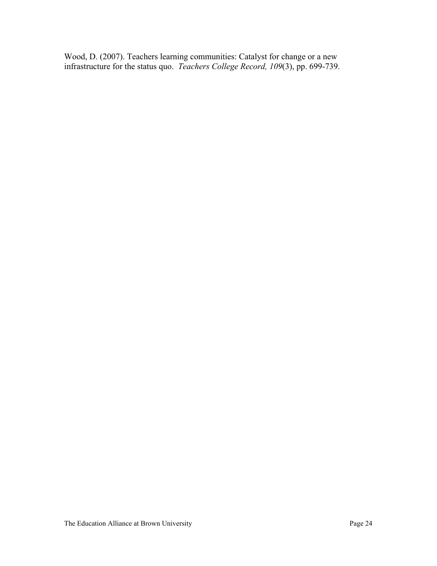Wood, D. (2007). Teachers learning communities: Catalyst for change or a new infrastructure for the status quo. *Teachers College Record, 109*(3), pp. 699-739.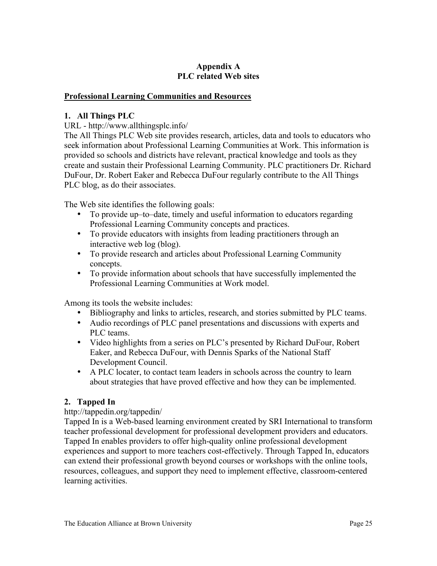# **Appendix A PLC related Web sites**

## **Professional Learning Communities and Resources**

### **1. All Things PLC**

URL - http://www.allthingsplc.info/

The All Things PLC Web site provides research, articles, data and tools to educators who seek information about Professional Learning Communities at Work. This information is provided so schools and districts have relevant, practical knowledge and tools as they create and sustain their Professional Learning Community. PLC practitioners Dr. Richard DuFour, Dr. Robert Eaker and Rebecca DuFour regularly contribute to the All Things PLC blog, as do their associates.

The Web site identifies the following goals:

- To provide up–to–date, timely and useful information to educators regarding Professional Learning Community concepts and practices.
- To provide educators with insights from leading practitioners through an interactive web log (blog).
- To provide research and articles about Professional Learning Community concepts.
- To provide information about schools that have successfully implemented the Professional Learning Communities at Work model.

Among its tools the website includes:

- Bibliography and links to articles, research, and stories submitted by PLC teams.
- Audio recordings of PLC panel presentations and discussions with experts and PLC teams.
- Video highlights from a series on PLC's presented by Richard DuFour, Robert Eaker, and Rebecca DuFour, with Dennis Sparks of the National Staff Development Council.
- A PLC locater, to contact team leaders in schools across the country to learn about strategies that have proved effective and how they can be implemented.

# **2. Tapped In**

#### http://tappedin.org/tappedin/

Tapped In is a Web-based learning environment created by SRI International to transform teacher professional development for professional development providers and educators. Tapped In enables providers to offer high-quality online professional development experiences and support to more teachers cost-effectively. Through Tapped In, educators can extend their professional growth beyond courses or workshops with the online tools, resources, colleagues, and support they need to implement effective, classroom-centered learning activities.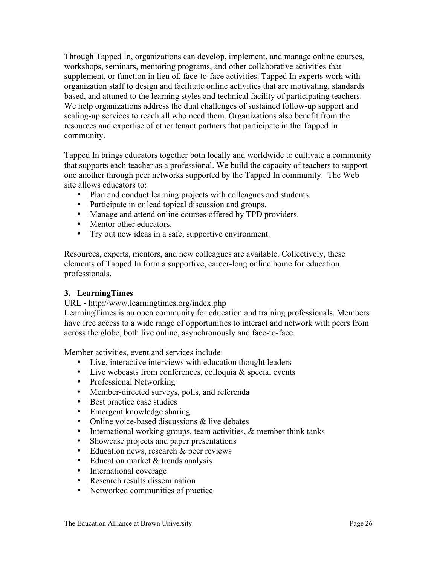Through Tapped In, organizations can develop, implement, and manage online courses, workshops, seminars, mentoring programs, and other collaborative activities that supplement, or function in lieu of, face-to-face activities. Tapped In experts work with organization staff to design and facilitate online activities that are motivating, standards based, and attuned to the learning styles and technical facility of participating teachers. We help organizations address the dual challenges of sustained follow-up support and scaling-up services to reach all who need them. Organizations also benefit from the resources and expertise of other tenant partners that participate in the Tapped In community.

Tapped In brings educators together both locally and worldwide to cultivate a community that supports each teacher as a professional. We build the capacity of teachers to support one another through peer networks supported by the Tapped In community. The Web site allows educators to:

- Plan and conduct learning projects with colleagues and students.
- Participate in or lead topical discussion and groups.
- Manage and attend online courses offered by TPD providers.
- Mentor other educators.
- Try out new ideas in a safe, supportive environment.

Resources, experts, mentors, and new colleagues are available. Collectively, these elements of Tapped In form a supportive, career-long online home for education professionals.

# **3. LearningTimes**

URL - http://www.learningtimes.org/index.php

LearningTimes is an open community for education and training professionals. Members have free access to a wide range of opportunities to interact and network with peers from across the globe, both live online, asynchronously and face-to-face.

Member activities, event and services include:

- Live, interactive interviews with education thought leaders
- Live webcasts from conferences, colloquia  $&$  special events
- Professional Networking
- Member-directed surveys, polls, and referenda
- Best practice case studies
- Emergent knowledge sharing
- Online voice-based discussions & live debates
- International working groups, team activities, & member think tanks
- Showcase projects and paper presentations
- Education news, research & peer reviews
- Education market & trends analysis
- International coverage
- Research results dissemination
- Networked communities of practice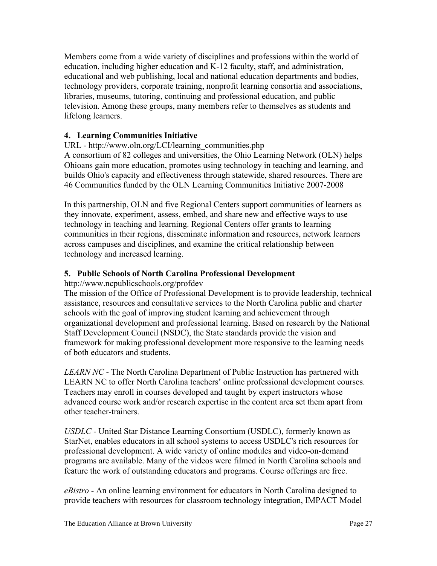Members come from a wide variety of disciplines and professions within the world of education, including higher education and K-12 faculty, staff, and administration, educational and web publishing, local and national education departments and bodies, technology providers, corporate training, nonprofit learning consortia and associations, libraries, museums, tutoring, continuing and professional education, and public television. Among these groups, many members refer to themselves as students and lifelong learners.

# **4. Learning Communities Initiative**

URL - http://www.oln.org/LCI/learning\_communities.php A consortium of 82 colleges and universities, the Ohio Learning Network (OLN) helps Ohioans gain more education, promotes using technology in teaching and learning, and builds Ohio's capacity and effectiveness through statewide, shared resources. There are 46 Communities funded by the OLN Learning Communities Initiative 2007-2008

In this partnership, OLN and five Regional Centers support communities of learners as they innovate, experiment, assess, embed, and share new and effective ways to use technology in teaching and learning. Regional Centers offer grants to learning communities in their regions, disseminate information and resources, network learners across campuses and disciplines, and examine the critical relationship between technology and increased learning.

# **5. Public Schools of North Carolina Professional Development**

http://www.ncpublicschools.org/profdev

The mission of the Office of Professional Development is to provide leadership, technical assistance, resources and consultative services to the North Carolina public and charter schools with the goal of improving student learning and achievement through organizational development and professional learning. Based on research by the National Staff Development Council (NSDC), the State standards provide the vision and framework for making professional development more responsive to the learning needs of both educators and students.

*LEARN NC* - The North Carolina Department of Public Instruction has partnered with LEARN NC to offer North Carolina teachers' online professional development courses. Teachers may enroll in courses developed and taught by expert instructors whose advanced course work and/or research expertise in the content area set them apart from other teacher-trainers.

*USDLC* - United Star Distance Learning Consortium (USDLC), formerly known as StarNet, enables educators in all school systems to access USDLC's rich resources for professional development. A wide variety of online modules and video-on-demand programs are available. Many of the videos were filmed in North Carolina schools and feature the work of outstanding educators and programs. Course offerings are free.

*eBistro* - An online learning environment for educators in North Carolina designed to provide teachers with resources for classroom technology integration, IMPACT Model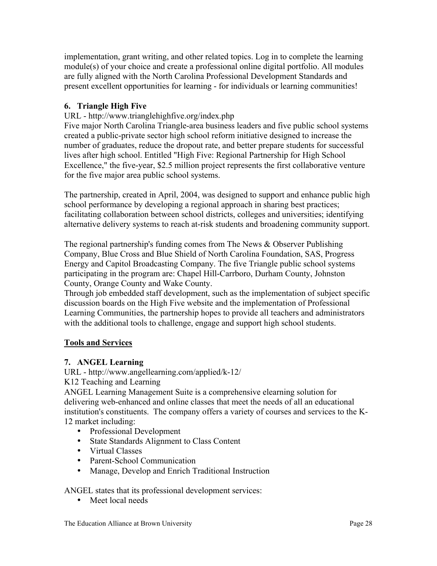implementation, grant writing, and other related topics. Log in to complete the learning module(s) of your choice and create a professional online digital portfolio. All modules are fully aligned with the North Carolina Professional Development Standards and present excellent opportunities for learning - for individuals or learning communities!

# **6. Triangle High Five**

URL - http://www.trianglehighfive.org/index.php

Five major North Carolina Triangle-area business leaders and five public school systems created a public-private sector high school reform initiative designed to increase the number of graduates, reduce the dropout rate, and better prepare students for successful lives after high school. Entitled "High Five: Regional Partnership for High School Excellence," the five-year, \$2.5 million project represents the first collaborative venture for the five major area public school systems.

The partnership, created in April, 2004, was designed to support and enhance public high school performance by developing a regional approach in sharing best practices; facilitating collaboration between school districts, colleges and universities; identifying alternative delivery systems to reach at-risk students and broadening community support.

The regional partnership's funding comes from The News & Observer Publishing Company, Blue Cross and Blue Shield of North Carolina Foundation, SAS, Progress Energy and Capitol Broadcasting Company. The five Triangle public school systems participating in the program are: Chapel Hill-Carrboro, Durham County, Johnston County, Orange County and Wake County.

Through job embedded staff development, such as the implementation of subject specific discussion boards on the High Five website and the implementation of Professional Learning Communities, the partnership hopes to provide all teachers and administrators with the additional tools to challenge, engage and support high school students.

# **Tools and Services**

# **7. ANGEL Learning**

URL - http://www.angellearning.com/applied/k-12/

K12 Teaching and Learning

ANGEL Learning Management Suite is a comprehensive elearning solution for delivering web-enhanced and online classes that meet the needs of all an educational institution's constituents. The company offers a variety of courses and services to the K-12 market including:

- Professional Development
- State Standards Alignment to Class Content
- Virtual Classes
- Parent-School Communication
- Manage, Develop and Enrich Traditional Instruction

ANGEL states that its professional development services:

• Meet local needs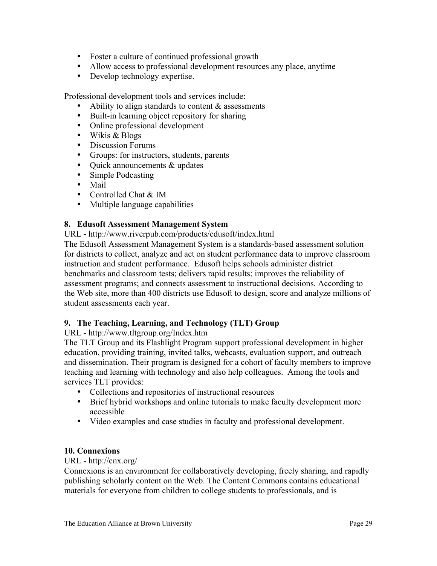- Foster a culture of continued professional growth
- Allow access to professional development resources any place, anytime
- Develop technology expertise.

Professional development tools and services include:

- Ability to align standards to content  $&$  assessments
- Built-in learning object repository for sharing
- Online professional development
- Wikis & Blogs
- Discussion Forums
- Groups: for instructors, students, parents
- Quick announcements & updates
- Simple Podcasting
- Mail
- Controlled Chat & IM
- Multiple language capabilities

#### **8. Edusoft Assessment Management System**

URL - http://www.riverpub.com/products/edusoft/index.html

The Edusoft Assessment Management System is a standards-based assessment solution for districts to collect, analyze and act on student performance data to improve classroom instruction and student performance. Edusoft helps schools administer district benchmarks and classroom tests; delivers rapid results; improves the reliability of assessment programs; and connects assessment to instructional decisions. According to the Web site, more than 400 districts use Edusoft to design, score and analyze millions of student assessments each year.

#### **9. The Teaching, Learning, and Technology (TLT) Group**

URL - http://www.tltgroup.org/Index.htm

The TLT Group and its Flashlight Program support professional development in higher education, providing training, invited talks, webcasts, evaluation support, and outreach and dissemination. Their program is designed for a cohort of faculty members to improve teaching and learning with technology and also help colleagues. Among the tools and services TLT provides:

- Collections and repositories of instructional resources
- Brief hybrid workshops and online tutorials to make faculty development more accessible
- Video examples and case studies in faculty and professional development.

#### **10. Connexions**

URL - http://cnx.org/

Connexions is an environment for collaboratively developing, freely sharing, and rapidly publishing scholarly content on the Web. The Content Commons contains educational materials for everyone from children to college students to professionals, and is